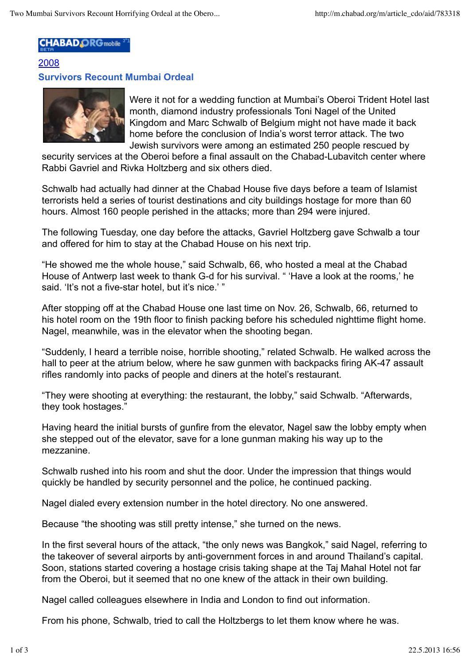## **CHABAD ORG** mobile

## 2008 **Survivors Recount Mumbai Ordeal**



Were it not for a wedding function at Mumbai's Oberoi Trident Hotel last month, diamond industry professionals Toni Nagel of the United Kingdom and Marc Schwalb of Belgium might not have made it back home before the conclusion of India's worst terror attack. The two Jewish survivors were among an estimated 250 people rescued by

security services at the Oberoi before a final assault on the Chabad-Lubavitch center where Rabbi Gavriel and Rivka Holtzberg and six others died.

Schwalb had actually had dinner at the Chabad House five days before a team of Islamist terrorists held a series of tourist destinations and city buildings hostage for more than 60 hours. Almost 160 people perished in the attacks; more than 294 were injured.

The following Tuesday, one day before the attacks, Gavriel Holtzberg gave Schwalb a tour and offered for him to stay at the Chabad House on his next trip.

"He showed me the whole house," said Schwalb, 66, who hosted a meal at the Chabad House of Antwerp last week to thank G-d for his survival. " 'Have a look at the rooms,' he said. 'It's not a five-star hotel, but it's nice.' "

After stopping off at the Chabad House one last time on Nov. 26, Schwalb, 66, returned to his hotel room on the 19th floor to finish packing before his scheduled nighttime flight home. Nagel, meanwhile, was in the elevator when the shooting began.

"Suddenly, I heard a terrible noise, horrible shooting," related Schwalb. He walked across the hall to peer at the atrium below, where he saw gunmen with backpacks firing AK-47 assault rifles randomly into packs of people and diners at the hotel's restaurant.

"They were shooting at everything: the restaurant, the lobby," said Schwalb. "Afterwards, they took hostages."

Having heard the initial bursts of gunfire from the elevator, Nagel saw the lobby empty when she stepped out of the elevator, save for a lone gunman making his way up to the mezzanine.

Schwalb rushed into his room and shut the door. Under the impression that things would quickly be handled by security personnel and the police, he continued packing.

Nagel dialed every extension number in the hotel directory. No one answered.

Because "the shooting was still pretty intense," she turned on the news.

In the first several hours of the attack, "the only news was Bangkok," said Nagel, referring to the takeover of several airports by anti-government forces in and around Thailand's capital. Soon, stations started covering a hostage crisis taking shape at the Taj Mahal Hotel not far from the Oberoi, but it seemed that no one knew of the attack in their own building.

Nagel called colleagues elsewhere in India and London to find out information.

From his phone, Schwalb, tried to call the Holtzbergs to let them know where he was.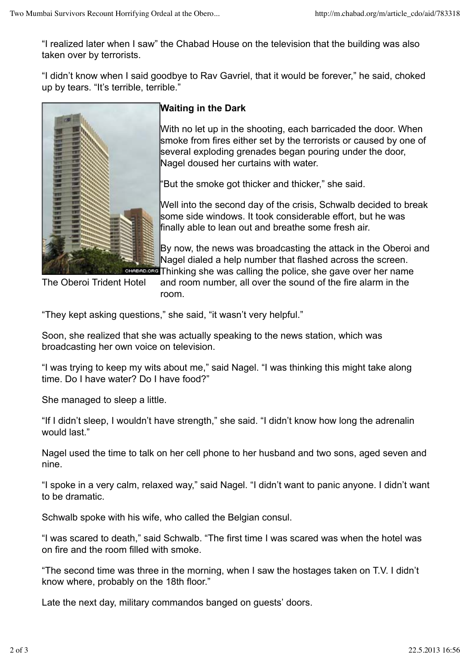"I realized later when I saw" the Chabad House on the television that the building was also taken over by terrorists.

"I didn't know when I said goodbye to Rav Gavriel, that it would be forever," he said, choked up by tears. "It's terrible, terrible."



## **Waiting in the Dark**

With no let up in the shooting, each barricaded the door. When smoke from fires either set by the terrorists or caused by one of several exploding grenades began pouring under the door, Nagel doused her curtains with water.

"But the smoke got thicker and thicker," she said.

Well into the second day of the crisis, Schwalb decided to break some side windows. It took considerable effort, but he was finally able to lean out and breathe some fresh air.

By now, the news was broadcasting the attack in the Oberoi and Nagel dialed a help number that flashed across the screen. **READ.ORG** Thinking she was calling the police, she gave over her name

The Oberoi Trident Hotel

and room number, all over the sound of the fire alarm in the room.

"They kept asking questions," she said, "it wasn't very helpful."

Soon, she realized that she was actually speaking to the news station, which was broadcasting her own voice on television.

"I was trying to keep my wits about me," said Nagel. "I was thinking this might take along time. Do I have water? Do I have food?"

She managed to sleep a little.

"If I didn't sleep, I wouldn't have strength," she said. "I didn't know how long the adrenalin would last."

Nagel used the time to talk on her cell phone to her husband and two sons, aged seven and nine.

"I spoke in a very calm, relaxed way," said Nagel. "I didn't want to panic anyone. I didn't want to be dramatic.

Schwalb spoke with his wife, who called the Belgian consul.

"I was scared to death," said Schwalb. "The first time I was scared was when the hotel was on fire and the room filled with smoke.

"The second time was three in the morning, when I saw the hostages taken on T.V. I didn't know where, probably on the 18th floor."

Late the next day, military commandos banged on guests' doors.